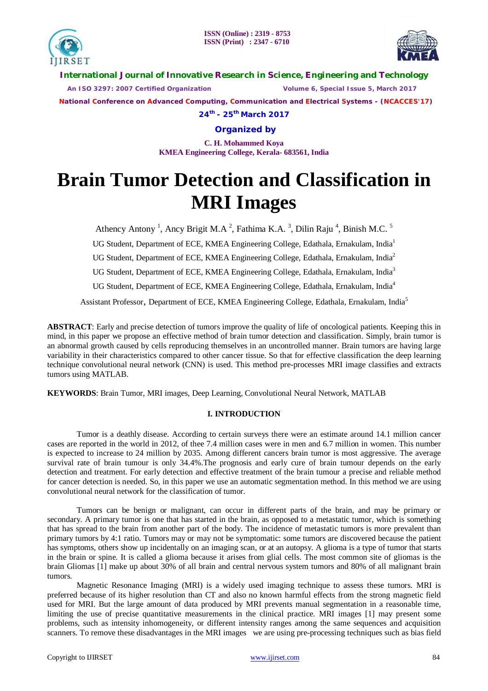



**International Journal of Innovative Research in Science, Engineering and Technology**

 *An ISO 3297: 2007 Certified Organization Volume 6, Special Issue 5, March 2017*

 **National Conference on Advanced Computing, Communication and Electrical Systems - (NCACCES'17)**

**24th - 25th March 2017**

**Organized by**

**C. H. Mohammed Koya KMEA Engineering College, Kerala- 683561, India** 

# **Brain Tumor Detection and Classification in MRI Images**

Athency Antony<sup>1</sup>, Ancy Brigit M.A<sup>2</sup>, Fathima K.A.<sup>3</sup>, Dilin Raju<sup>4</sup>, Binish M.C.<sup>5</sup>

UG Student, Department of ECE, KMEA Engineering College, Edathala, Ernakulam, India<sup>1</sup>

UG Student, Department of ECE, KMEA Engineering College, Edathala, Ernakulam, India<sup>2</sup>

UG Student, Department of ECE, KMEA Engineering College, Edathala, Ernakulam, India<sup>3</sup>

UG Student, Department of ECE, KMEA Engineering College, Edathala, Ernakulam, India<sup>4</sup>

Assistant Professor, Department of ECE, KMEA Engineering College, Edathala, Ernakulam, India<sup>5</sup>

**ABSTRACT**: Early and precise detection of tumors improve the quality of life of oncological patients. Keeping this in mind, in this paper we propose an effective method of brain tumor detection and classification. Simply, brain tumor is an abnormal growth caused by cells reproducing themselves in an uncontrolled manner. Brain tumors are having large variability in their characteristics compared to other cancer tissue. So that for effective classification the deep learning technique convolutional neural network (CNN) is used. This method pre-processes MRI image classifies and extracts tumors using MATLAB.

**KEYWORDS**: Brain Tumor, MRI images, Deep Learning, Convolutional Neural Network, MATLAB

# **I. INTRODUCTION**

Tumor is a deathly disease. According to certain surveys there were an estimate around 14.1 million cancer cases are reported in the world in 2012, of thee 7.4 million cases were in men and 6.7 million in women. This number is expected to increase to 24 million by 2035. Among different cancers brain tumor is most aggressive. The average survival rate of brain tumour is only 34.4%.The prognosis and early cure of brain tumour depends on the early detection and treatment. For early detection and effective treatment of the brain tumour a precise and reliable method for cancer detection is needed. So, in this paper we use an automatic segmentation method. In this method we are using convolutional neural network for the classification of tumor.

Tumors can be benign or malignant, can occur in different parts of the brain, and may be primary or secondary. A primary tumor is one that has started in the brain, as opposed to a metastatic tumor, which is something that has spread to the brain from another part of the body. The incidence of metastatic tumors is more prevalent than primary tumors by 4:1 ratio. Tumors may or may not be symptomatic: some tumors are discovered because the patient has symptoms, others show up incidentally on an imaging scan, or at an autopsy. A glioma is a type of tumor that starts in the brain or spine. It is called a glioma because it arises from glial cells. The most common site of gliomas is the brain Gliomas [1] make up about 30% of all brain and central nervous system tumors and 80% of all malignant brain tumors.

Magnetic Resonance Imaging (MRI) is a widely used imaging technique to assess these tumors. MRI is preferred because of its higher resolution than CT and also no known harmful effects from the strong magnetic field used for MRI. But the large amount of data produced by MRI prevents manual segmentation in a reasonable time, limiting the use of precise quantitative measurements in the clinical practice. MRI images [1] may present some problems, such as intensity inhomogeneity, or different intensity ranges among the same sequences and acquisition scanners. To remove these disadvantages in the MRI images we are using pre-processing techniques such as bias field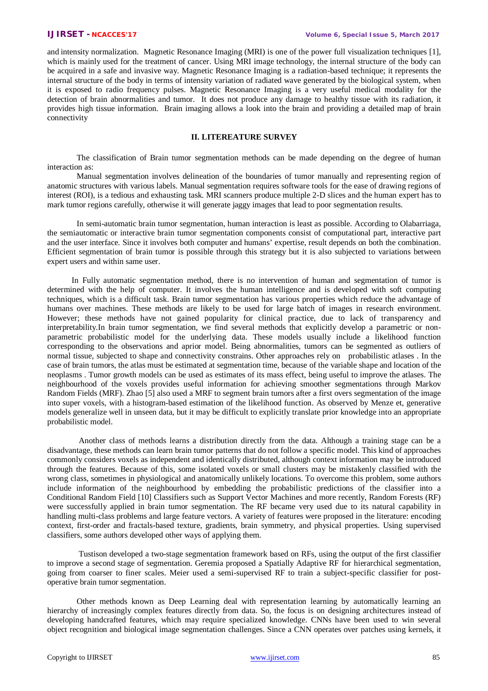and intensity normalization. Magnetic Resonance Imaging (MRI) is one of the power full visualization techniques [1], which is mainly used for the treatment of cancer. Using MRI image technology, the internal structure of the body can be acquired in a safe and invasive way. Magnetic Resonance Imaging is a radiation-based technique; it represents the internal structure of the body in terms of intensity variation of radiated wave generated by the biological system, when it is exposed to radio frequency pulses. Magnetic Resonance Imaging is a very useful medical modality for the detection of brain abnormalities and tumor. It does not produce any damage to healthy tissue with its radiation, it provides high tissue information. Brain imaging allows a look into the brain and providing a detailed map of brain connectivity

### **II. LITEREATURE SURVEY**

The classification of Brain tumor segmentation methods can be made depending on the degree of human interaction as:

Manual segmentation involves delineation of the boundaries of tumor manually and representing region of anatomic structures with various labels. Manual segmentation requires software tools for the ease of drawing regions of interest (ROI), is a tedious and exhausting task. MRI scanners produce multiple 2-D slices and the human expert has to mark tumor regions carefully, otherwise it will generate jaggy images that lead to poor segmentation results.

In semi-automatic brain tumor segmentation, human interaction is least as possible. According to Olabarriaga, the semiautomatic or interactive brain tumor segmentation components consist of computational part, interactive part and the user interface. Since it involves both computer and humans' expertise, result depends on both the combination. Efficient segmentation of brain tumor is possible through this strategy but it is also subjected to variations between expert users and within same user.

 In Fully automatic segmentation method, there is no intervention of human and segmentation of tumor is determined with the help of computer. It involves the human intelligence and is developed with soft computing techniques, which is a difficult task. Brain tumor segmentation has various properties which reduce the advantage of humans over machines. These methods are likely to be used for large batch of images in research environment. However; these methods have not gained popularity for clinical practice, due to lack of transparency and interpretability.In brain tumor segmentation, we find several methods that explicitly develop a parametric or nonparametric probabilistic model for the underlying data. These models usually include a likelihood function corresponding to the observations and aprior model. Being abnormalities, tumors can be segmented as outliers of normal tissue, subjected to shape and connectivity constrains. Other approaches rely on probabilistic atlases . In the case of brain tumors, the atlas must be estimated at segmentation time, because of the variable shape and location of the neoplasms . Tumor growth models can be used as estimates of its mass effect, being useful to improve the atlases. The neighbourhood of the voxels provides useful information for achieving smoother segmentations through Markov Random Fields (MRF). Zhao [5] also used a MRF to segment brain tumors after a first overs segmentation of the image into super voxels, with a histogram-based estimation of the likelihood function. As observed by Menze et, generative models generalize well in unseen data, but it may be difficult to explicitly translate prior knowledge into an appropriate probabilistic model.

Another class of methods learns a distribution directly from the data. Although a training stage can be a disadvantage, these methods can learn brain tumor patterns that do not follow a specific model. This kind of approaches commonly considers voxels as independent and identically distributed, although context information may be introduced through the features. Because of this, some isolated voxels or small clusters may be mistakenly classified with the wrong class, sometimes in physiological and anatomically unlikely locations. To overcome this problem, some authors include information of the neighbourhood by embedding the probabilistic predictions of the classifier into a Conditional Random Field [10] Classifiers such as Support Vector Machines and more recently, Random Forests (RF) were successfully applied in brain tumor segmentation. The RF became very used due to its natural capability in handling multi-class problems and large feature vectors. A variety of features were proposed in the literature: encoding context, first-order and fractals-based texture, gradients, brain symmetry, and physical properties. Using supervised classifiers, some authors developed other ways of applying them.

Tustison developed a two-stage segmentation framework based on RFs, using the output of the first classifier to improve a second stage of segmentation. Geremia proposed a Spatially Adaptive RF for hierarchical segmentation, going from coarser to finer scales. Meier used a semi-supervised RF to train a subject-specific classifier for postoperative brain tumor segmentation.

Other methods known as Deep Learning deal with representation learning by automatically learning an hierarchy of increasingly complex features directly from data. So, the focus is on designing architectures instead of developing handcrafted features, which may require specialized knowledge. CNNs have been used to win several object recognition and biological image segmentation challenges. Since a CNN operates over patches using kernels, it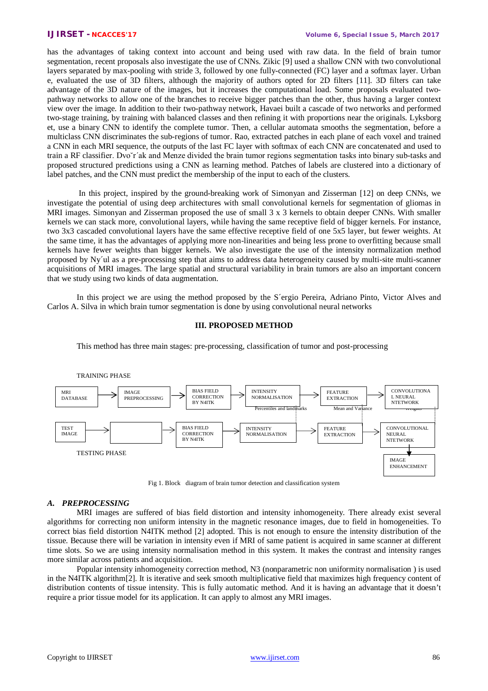has the advantages of taking context into account and being used with raw data. In the field of brain tumor segmentation, recent proposals also investigate the use of CNNs. Zikic [9] used a shallow CNN with two convolutional layers separated by max-pooling with stride 3, followed by one fully-connected (FC) layer and a softmax layer. Urban e, evaluated the use of 3D filters, although the majority of authors opted for 2D filters [11]. 3D filters can take advantage of the 3D nature of the images, but it increases the computational load. Some proposals evaluated twopathway networks to allow one of the branches to receive bigger patches than the other, thus having a larger context view over the image. In addition to their two-pathway network, Havaei built a cascade of two networks and performed two-stage training, by training with balanced classes and then refining it with proportions near the originals. Lyksborg et, use a binary CNN to identify the complete tumor. Then, a cellular automata smooths the segmentation, before a multiclass CNN discriminates the sub-regions of tumor. Rao, extracted patches in each plane of each voxel and trained a CNN in each MRI sequence, the outputs of the last FC layer with softmax of each CNN are concatenated and used to train a RF classifier. Dvo˘r´ak and Menze divided the brain tumor regions segmentation tasks into binary sub-tasks and proposed structured predictions using a CNN as learning method. Patches of labels are clustered into a dictionary of label patches, and the CNN must predict the membership of the input to each of the clusters.

In this project, inspired by the ground-breaking work of Simonyan and Zisserman [12] on deep CNNs, we investigate the potential of using deep architectures with small convolutional kernels for segmentation of gliomas in MRI images. Simonyan and Zisserman proposed the use of small 3 x 3 kernels to obtain deeper CNNs. With smaller kernels we can stack more, convolutional layers, while having the same receptive field of bigger kernels. For instance, two 3x3 cascaded convolutional layers have the same effective receptive field of one 5x5 layer, but fewer weights. At the same time, it has the advantages of applying more non-linearities and being less prone to overfitting because small kernels have fewer weights than bigger kernels. We also investigate the use of the intensity normalization method proposed by Ny´ul as a pre-processing step that aims to address data heterogeneity caused by multi-site multi-scanner acquisitions of MRI images. The large spatial and structural variability in brain tumors are also an important concern that we study using two kinds of data augmentation.

In this project we are using the method proposed by the S´ergio Pereira, Adriano Pinto, Victor Alves and Carlos A. Silva in which brain tumor segmentation is done by using convolutional neural networks

### **III. PROPOSED METHOD**

This method has three main stages: pre-processing, classification of tumor and post-processing



Fig 1. Block diagram of brain tumor detection and classification system

#### *A. PREPROCESSING*

MRI images are suffered of bias field distortion and intensity inhomogeneity. There already exist several algorithms for correcting non uniform intensity in the magnetic resonance images, due to field in homogeneities. To correct bias field distortion N4ITK method [2] adopted. This is not enough to ensure the intensity distribution of the tissue. Because there will be variation in intensity even if MRI of same patient is acquired in same scanner at different time slots. So we are using intensity normalisation method in this system. It makes the contrast and intensity ranges more similar across patients and acquisition.

Popular intensity inhomogeneity correction method, N3 (nonparametric non uniformity normalisation ) is used in the N4ITK algorithm[2]. It is iterative and seek smooth multiplicative field that maximizes high frequency content of distribution contents of tissue intensity. This is fully automatic method. And it is having an advantage that it doesn't require a prior tissue model for its application. It can apply to almost any MRI images.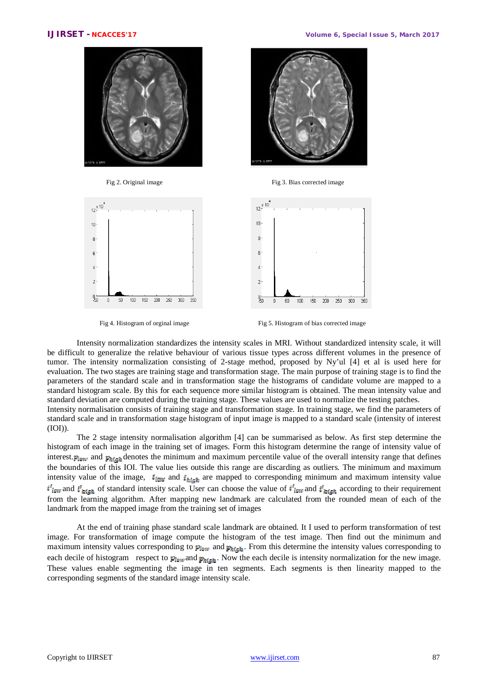



Fig 2. Original image Fig 3. Bias corrected image





Fig 4. Histogram of orginal image Fig 5. Histogram of bias corrected image

Intensity normalization standardizes the intensity scales in MRI. Without standardized intensity scale, it will be difficult to generalize the relative behaviour of various tissue types across different volumes in the presence of tumor. The intensity normalization consisting of 2-stage method, proposed by Ny'ul [4] et al is used here for evaluation. The two stages are training stage and transformation stage. The main purpose of training stage is to find the parameters of the standard scale and in transformation stage the histograms of candidate volume are mapped to a standard histogram scale. By this for each sequence more similar histogram is obtained. The mean intensity value and standard deviation are computed during the training stage. These values are used to normalize the testing patches. Intensity normalisation consists of training stage and transformation stage. In training stage, we find the parameters of

standard scale and in transformation stage histogram of input image is mapped to a standard scale (intensity of interest (IOI)).

The 2 stage intensity normalisation algorithm [4] can be summarised as below. As first step determine the histogram of each image in the training set of images. Form this histogram determine the range of intensity value of interest.  $p_{low}$  and  $p_{high}$  denotes the minimum and maximum percentile value of the overall intensity range that defines the boundaries of this IOI. The value lies outside this range are discarding as outliers. The minimum and maximum intensity value of the image,  $i_{low}$  and  $i_{high}$  are mapped to corresponding minimum and maximum intensity value  $i'_{low}$  and  $i'_{high}$  of standard intensity scale. User can choose the value of  $i'_{low}$  and  $i'_{high}$  according to their requirement from the learning algorithm. After mapping new landmark are calculated from the rounded mean of each of the landmark from the mapped image from the training set of images

At the end of training phase standard scale landmark are obtained. It I used to perform transformation of test image. For transformation of image compute the histogram of the test image. Then find out the minimum and maximum intensity values corresponding to  $p_{low}$  and  $p_{high}$ . From this determine the intensity values corresponding to each decile of histogram respect to  $p_{\text{low}}$  and  $p_{\text{high}}$ . Now the each decile is intensity normalization for the new image. These values enable segmenting the image in ten segments. Each segments is then linearity mapped to the corresponding segments of the standard image intensity scale.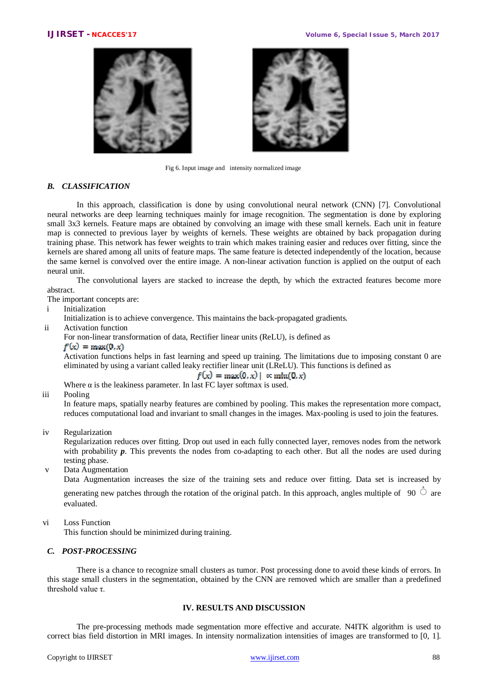



Fig 6. Input image and intensity normalized image

### *B. CLASSIFICATION*

 In this approach, classification is done by using convolutional neural network (CNN) [7]. Convolutional neural networks are deep learning techniques mainly for image recognition. The segmentation is done by exploring small 3x3 kernels. Feature maps are obtained by convolving an image with these small kernels. Each unit in feature map is connected to previous layer by weights of kernels. These weights are obtained by back propagation during training phase. This network has fewer weights to train which makes training easier and reduces over fitting, since the kernels are shared among all units of feature maps. The same feature is detected independently of the location, because the same kernel is convolved over the entire image. A non-linear activation function is applied on the output of each neural unit.

The convolutional layers are stacked to increase the depth, by which the extracted features become more abstract.

The important concepts are:

i Initialization

Initialization is to achieve convergence. This maintains the back-propagated gradients.

ii Activation function

For non-linear transformation of data, Rectifier linear units (ReLU), is defined as

### $f(x) = max(0, x)$

Activation functions helps in fast learning and speed up training. The limitations due to imposing constant 0 are eliminated by using a variant called leaky rectifier linear unit (LReLU). This functions is defined as

 $f(x) = \max(0, x) | \alpha \min(0, x)$ 

Where  $\alpha$  is the leakiness parameter. In last FC layer softmax is used.

### iii Pooling

In feature maps, spatially nearby features are combined by pooling. This makes the representation more compact, reduces computational load and invariant to small changes in the images. Max-pooling is used to join the features.

iv Regularization

Regularization reduces over fitting. Drop out used in each fully connected layer, removes nodes from the network with probability **p**. This prevents the nodes from co-adapting to each other. But all the nodes are used during testing phase.

v Data Augmentation

Data Augmentation increases the size of the training sets and reduce over fitting. Data set is increased by generating new patches through the rotation of the original patch. In this approach, angles multiple of 90  $\degree$  are evaluated.

vi Loss Function

This function should be minimized during training.

## *C. POST-PROCESSING*

 There is a chance to recognize small clusters as tumor. Post processing done to avoid these kinds of errors. In this stage small clusters in the segmentation, obtained by the CNN are removed which are smaller than a predefined threshold value  $\tau$ .

# **IV. RESULTS AND DISCUSSION**

The pre-processing methods made segmentation more effective and accurate. N4ITK algorithm is used to correct bias field distortion in MRI images. In intensity normalization intensities of images are transformed to [0, 1].